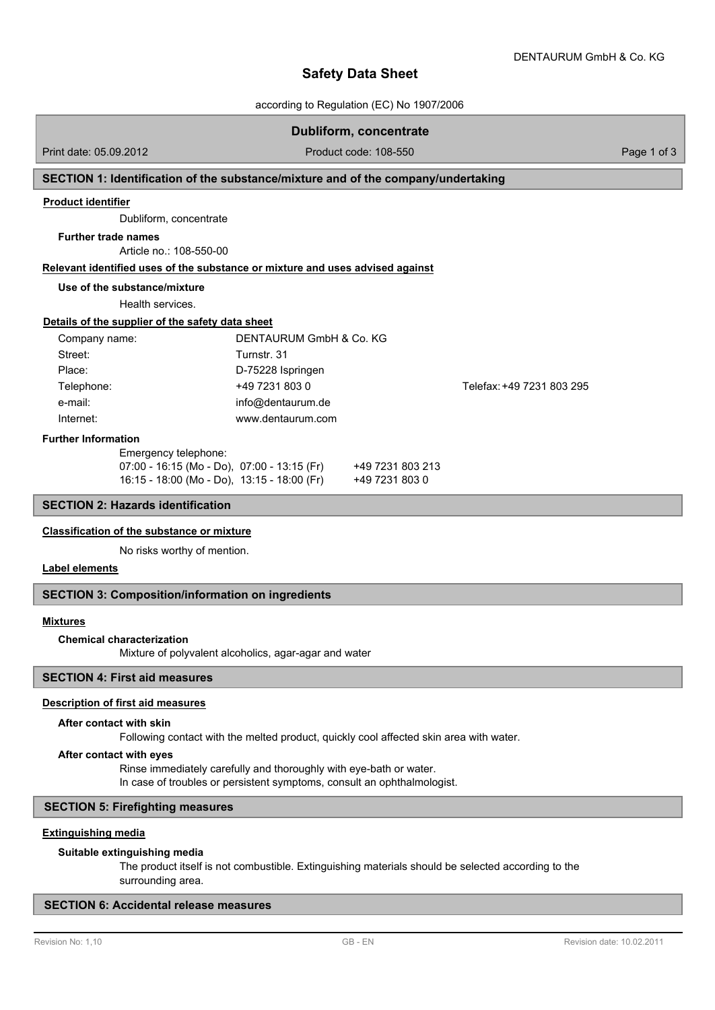# **Safety Data Sheet**

according to Regulation (EC) No 1907/2006

## **Dubliform, concentrate**

Print date: 05.09.2012 **Product code: 108-550** Product code: 108-550 Page 1 of 3

## **SECTION 1: Identification of the substance/mixture and of the company/undertaking**

### **Product identifier**

Dubliform, concentrate

### **Further trade names**

Article no.: 108-550-00

### **Relevant identified uses of the substance or mixture and uses advised against**

### **Use of the substance/mixture**

Health services.

### **Details of the supplier of the safety data sheet**

| Company name: | DENTAURUM GmbH & Co. KG |                           |
|---------------|-------------------------|---------------------------|
| Street:       | Turnstr. 31             |                           |
| Place:        | D-75228 Ispringen       |                           |
| Telephone:    | +49 7231 803 0          | Telefax: +49 7231 803 295 |
| e-mail:       | info@dentaurum.de       |                           |
| Internet:     | www.dentaurum.com       |                           |

#### **Further Information**

| Ellielgency telephone.                       |                  |
|----------------------------------------------|------------------|
| 07:00 - 16:15 (Mo - Do),  07:00 - 13:15 (Fr) | +49 7231 803 213 |
| 16:15 - 18:00 (Mo - Do), 13:15 - 18:00 (Fr)  | +49 7231 803 0   |

## **SECTION 2: Hazards identification**

### **Classification of the substance or mixture**

No risks worthy of mention.

Emergency telephone:

## **Label elements**

## **SECTION 3: Composition/information on ingredients**

### **Mixtures**

### **Chemical characterization**

Mixture of polyvalent alcoholics, agar-agar and water

## **SECTION 4: First aid measures**

## **Description of first aid measures**

### **After contact with skin**

Following contact with the melted product, quickly cool affected skin area with water.

### **After contact with eyes**

Rinse immediately carefully and thoroughly with eye-bath or water. In case of troubles or persistent symptoms, consult an ophthalmologist.

## **SECTION 5: Firefighting measures**

## **Extinguishing media**

### **Suitable extinguishing media**

The product itself is not combustible. Extinguishing materials should be selected according to the surrounding area.

## **SECTION 6: Accidental release measures**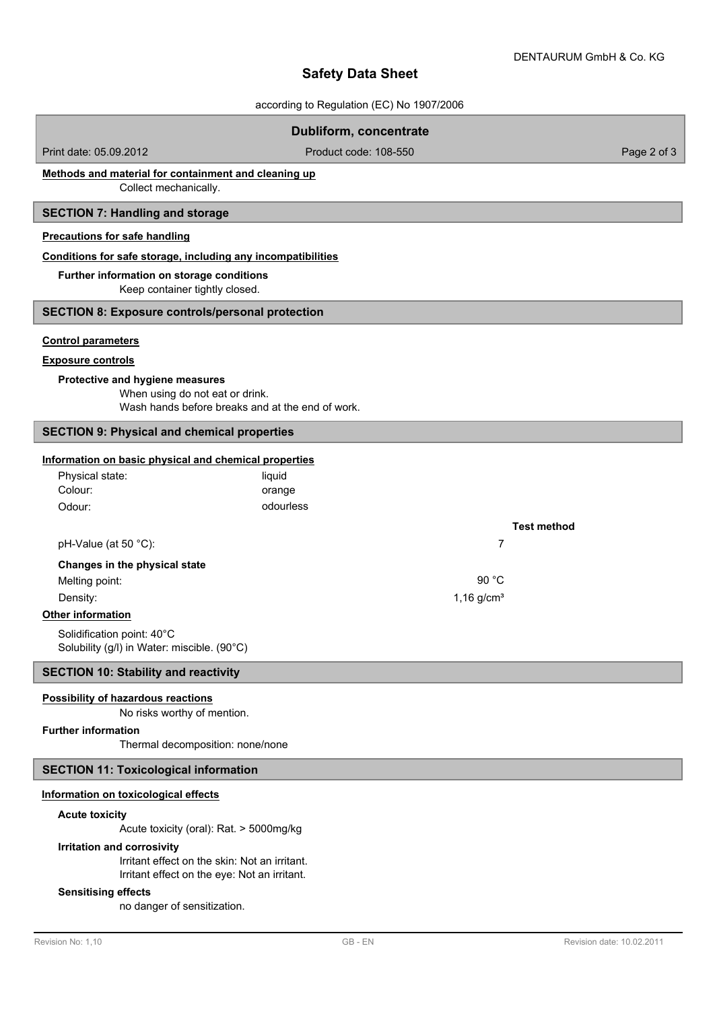# **Safety Data Sheet**

according to Regulation (EC) No 1907/2006

|                                                                                                                                                                                 | <b>Dubliform, concentrate</b> |                    |  |  |
|---------------------------------------------------------------------------------------------------------------------------------------------------------------------------------|-------------------------------|--------------------|--|--|
| Print date: 05.09.2012                                                                                                                                                          | Product code: 108-550         | Page 2 of 3        |  |  |
| Methods and material for containment and cleaning up<br>Collect mechanically.                                                                                                   |                               |                    |  |  |
| <b>SECTION 7: Handling and storage</b>                                                                                                                                          |                               |                    |  |  |
| <b>Precautions for safe handling</b>                                                                                                                                            |                               |                    |  |  |
| Conditions for safe storage, including any incompatibilities                                                                                                                    |                               |                    |  |  |
| Further information on storage conditions<br>Keep container tightly closed.                                                                                                     |                               |                    |  |  |
| <b>SECTION 8: Exposure controls/personal protection</b>                                                                                                                         |                               |                    |  |  |
| <b>Control parameters</b><br><b>Exposure controls</b><br>Protective and hygiene measures<br>When using do not eat or drink.<br>Wash hands before breaks and at the end of work. |                               |                    |  |  |
| <b>SECTION 9: Physical and chemical properties</b>                                                                                                                              |                               |                    |  |  |
| Information on basic physical and chemical properties                                                                                                                           |                               |                    |  |  |
| Physical state:<br>liquid                                                                                                                                                       |                               |                    |  |  |
| Colour:<br>orange                                                                                                                                                               |                               |                    |  |  |
| odourless<br>Odour:                                                                                                                                                             |                               |                    |  |  |
| pH-Value (at 50 °C):                                                                                                                                                            | 7                             | <b>Test method</b> |  |  |
|                                                                                                                                                                                 |                               |                    |  |  |
| Changes in the physical state<br>Melting point:                                                                                                                                 | 90 °C                         |                    |  |  |
| Density:                                                                                                                                                                        | $1,16$ g/cm <sup>3</sup>      |                    |  |  |
| Other information                                                                                                                                                               |                               |                    |  |  |
| Solidification point: 40°C                                                                                                                                                      |                               |                    |  |  |
| Solubility (g/l) in Water: miscible. (90°C)                                                                                                                                     |                               |                    |  |  |
| <b>SECTION 10: Stability and reactivity</b>                                                                                                                                     |                               |                    |  |  |
| <b>Possibility of hazardous reactions</b><br>No risks worthy of mention.                                                                                                        |                               |                    |  |  |
| <b>Further information</b>                                                                                                                                                      |                               |                    |  |  |
| Thermal decomposition: none/none                                                                                                                                                |                               |                    |  |  |
| <b>SECTION 11: Toxicological information</b>                                                                                                                                    |                               |                    |  |  |
| Information on toxicological effects                                                                                                                                            |                               |                    |  |  |
| <b>Acute toxicity</b>                                                                                                                                                           |                               |                    |  |  |
| Acute toxicity (oral): Rat. > 5000mg/kg<br>Irritation and corrosivity                                                                                                           |                               |                    |  |  |

Irritant effect on the skin: Not an irritant. Irritant effect on the eye: Not an irritant.

## **Sensitising effects**

no danger of sensitization.